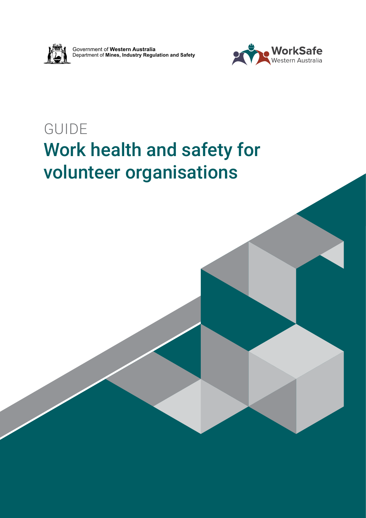

Government of **Western Australia** Department of **Mines, Industry Regulation and Safety**



# GUIDE Work health and safety for volunteer organisations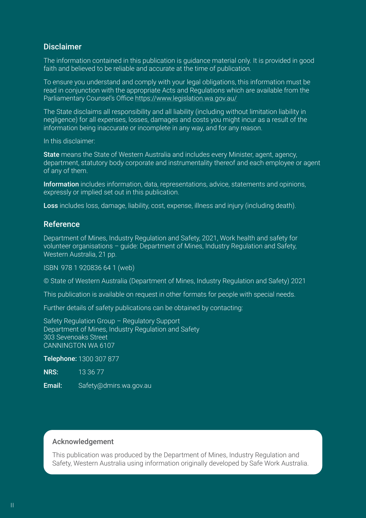#### Disclaimer

The information contained in this publication is guidance material only. It is provided in good faith and believed to be reliable and accurate at the time of publication.

To ensure you understand and comply with your legal obligations, this information must be read in conjunction with the appropriate Acts and Regulations which are available from the Parliamentary Counsel's Office <https://www.legislation.wa.gov.au/>

The State disclaims all responsibility and all liability (including without limitation liability in negligence) for all expenses, losses, damages and costs you might incur as a result of the information being inaccurate or incomplete in any way, and for any reason.

In this disclaimer:

**State** means the State of Western Australia and includes every Minister, agent, agency, department, statutory body corporate and instrumentality thereof and each employee or agent of any of them.

Information includes information, data, representations, advice, statements and opinions, expressly or implied set out in this publication.

Loss includes loss, damage, liability, cost, expense, illness and injury (including death).

#### Reference

Department of Mines, Industry Regulation and Safety, 2021, Work health and safety for volunteer organisations – guide: Department of Mines, Industry Regulation and Safety, Western Australia, 21 pp.

ISBN 978 1 920836 64 1 (web)

© State of Western Australia (Department of Mines, Industry Regulation and Safety) 2021

This publication is available on request in other formats for people with special needs.

Further details of safety publications can be obtained by contacting:

Safety Regulation Group – Regulatory Support Department of Mines, Industry Regulation and Safety 303 Sevenoaks Street CANNINGTON WA 6107

Telephone: 1300 307 877

NRS: 13 36 77

**Email:** Safety@dmirs.wa.gov.au

#### Acknowledgement

This publication was produced by the Department of Mines, Industry Regulation and Safety, Western Australia using information originally developed by Safe Work Australia.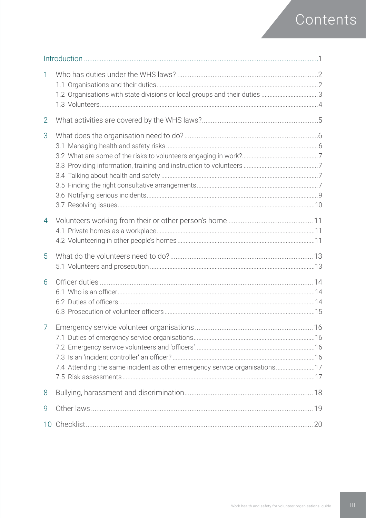# Contents

| 1<br>1.2 Organisations with state divisions or local groups and their duties 3               |  |
|----------------------------------------------------------------------------------------------|--|
| $\overline{2}$                                                                               |  |
| 3                                                                                            |  |
| 4                                                                                            |  |
| 5                                                                                            |  |
| 6                                                                                            |  |
| 7 <sup>7</sup><br>7.4 Attending the same incident as other emergency service organisations17 |  |
| 8                                                                                            |  |
| 9                                                                                            |  |
|                                                                                              |  |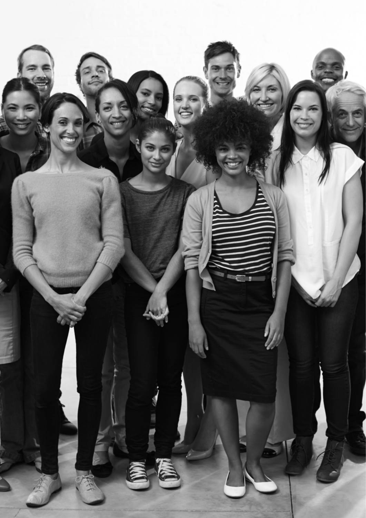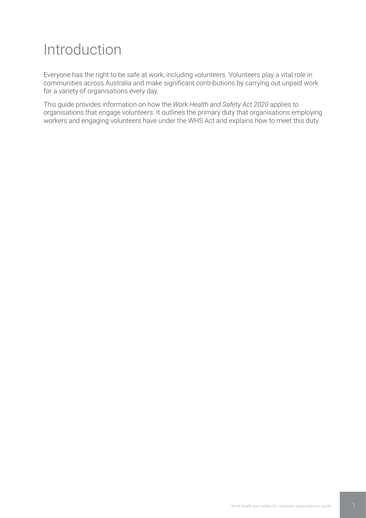# <span id="page-4-0"></span>Introduction

Everyone has the right to be safe at work, including volunteers. Volunteers play a vital role in communities across Australia and make significant contributions by carrying out unpaid work for a variety of organisations every day.

This guide provides information on how the *Work Health and Safety Act 2020* applies to organisations that engage volunteers. It outlines the primary duty that organisations employing workers and engaging volunteers have under the WHS Act and explains how to meet this duty.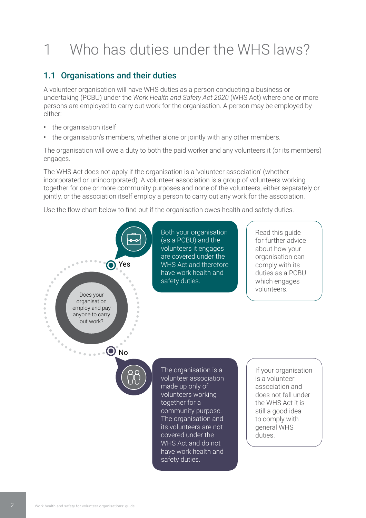# <span id="page-5-0"></span>1 Who has duties under the WHS laws?

## 1.1 Organisations and their duties

A volunteer organisation will have WHS duties as a person conducting a business or undertaking (PCBU) under the *Work Health and Safety Act 2020* (WHS Act) where one or more persons are employed to carry out work for the organisation. A person may be employed by either:

- the organisation itself
- the organisation's members, whether alone or jointly with any other members.

The organisation will owe a duty to both the paid worker and any volunteers it (or its members) engages.

The WHS Act does not apply if the organisation is a 'volunteer association' (whether incorporated or unincorporated). A volunteer association is a group of volunteers working together for one or more community purposes and none of the volunteers, either separately or jointly, or the association itself employ a person to carry out any work for the association.

Use the flow chart below to find out if the organisation owes health and safety duties.

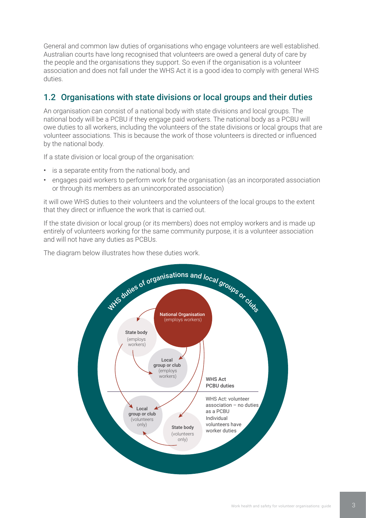<span id="page-6-0"></span>General and common law duties of organisations who engage volunteers are well established. Australian courts have long recognised that volunteers are owed a general duty of care by the people and the organisations they support. So even if the organisation is a volunteer association and does not fall under the WHS Act it is a good idea to comply with general WHS duties.

## 1.2 Organisations with state divisions or local groups and their duties

An organisation can consist of a national body with state divisions and local groups. The national body will be a PCBU if they engage paid workers. The national body as a PCBU will owe duties to all workers, including the volunteers of the state divisions or local groups that are volunteer associations. This is because the work of those volunteers is directed or influenced by the national body.

If a state division or local group of the organisation:

- is a separate entity from the national body, and
- engages paid workers to perform work for the organisation (as an incorporated association or through its members as an unincorporated association)

it will owe WHS duties to their volunteers and the volunteers of the local groups to the extent that they direct or influence the work that is carried out.

If the state division or local group (or its members) does not employ workers and is made up entirely of volunteers working for the same community purpose, it is a volunteer association and will not have any duties as PCBUs.



The diagram below illustrates how these duties work.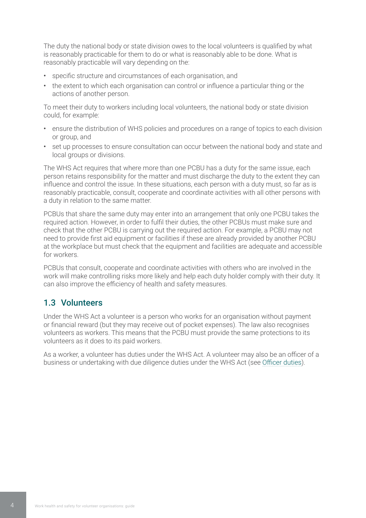<span id="page-7-0"></span>The duty the national body or state division owes to the local volunteers is qualified by what is reasonably practicable for them to do or what is reasonably able to be done. What is reasonably practicable will vary depending on the:

- specific structure and circumstances of each organisation, and
- the extent to which each organisation can control or influence a particular thing or the actions of another person.

To meet their duty to workers including local volunteers, the national body or state division could, for example:

- ensure the distribution of WHS policies and procedures on a range of topics to each division or group, and
- set up processes to ensure consultation can occur between the national body and state and local groups or divisions.

The WHS Act requires that where more than one PCBU has a duty for the same issue, each person retains responsibility for the matter and must discharge the duty to the extent they can influence and control the issue. In these situations, each person with a duty must, so far as is reasonably practicable, consult, cooperate and coordinate activities with all other persons with a duty in relation to the same matter.

PCBUs that share the same duty may enter into an arrangement that only one PCBU takes the required action. However, in order to fulfil their duties, the other PCBUs must make sure and check that the other PCBU is carrying out the required action. For example, a PCBU may not need to provide first aid equipment or facilities if these are already provided by another PCBU at the workplace but must check that the equipment and facilities are adequate and accessible for workers.

PCBUs that consult, cooperate and coordinate activities with others who are involved in the work will make controlling risks more likely and help each duty holder comply with their duty. It can also improve the efficiency of health and safety measures.

#### 1.3 Volunteers

Under the WHS Act a volunteer is a person who works for an organisation without payment or financial reward (but they may receive out of pocket expenses). The law also recognises volunteers as workers. This means that the PCBU must provide the same protections to its volunteers as it does to its paid workers.

As a worker, a volunteer has duties under the WHS Act. A volunteer may also be an officer of a business or undertaking with due diligence duties under the WHS Act (see [Officer duties](#page-17-0)).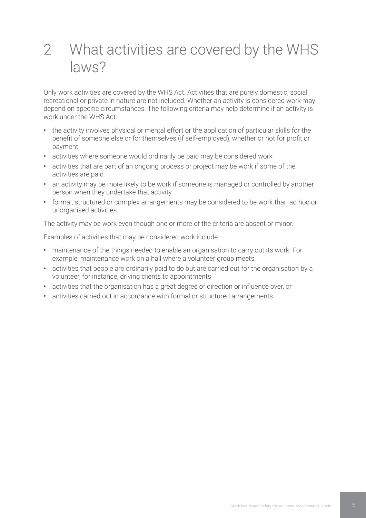# <span id="page-8-0"></span>2 What activities are covered by the WHS laws?

Only work activities are covered by the WHS Act. Activities that are purely domestic, social, recreational or private in nature are not included. Whether an activity is considered work may depend on specific circumstances. The following criteria may help determine if an activity is work under the WHS Act:

- the activity involves physical or mental effort or the application of particular skills for the benefit of someone else or for themselves (if self-employed), whether or not for profit or payment
- activities where someone would ordinarily be paid may be considered work
- activities that are part of an ongoing process or project may be work if some of the activities are paid
- an activity may be more likely to be work if someone is managed or controlled by another person when they undertake that activity
- formal, structured or complex arrangements may be considered to be work than ad hoc or unorganised activities.

The activity may be work even though one or more of the criteria are absent or minor.

Examples of activities that may be considered work include:

- maintenance of the things needed to enable an organisation to carry out its work. For example, maintenance work on a hall where a volunteer group meets
- activities that people are ordinarily paid to do but are carried out for the organisation by a volunteer, for instance, driving clients to appointments
- activities that the organisation has a great degree of direction or influence over, or
- activities carried out in accordance with formal or structured arrangements.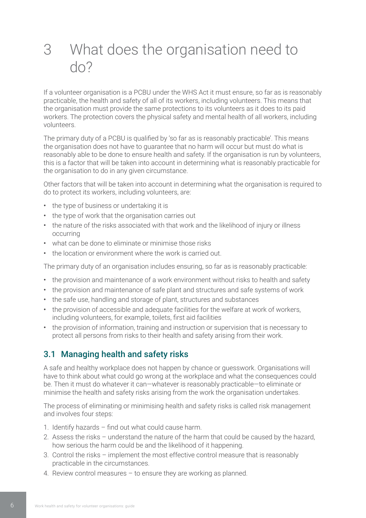# <span id="page-9-0"></span>3 What does the organisation need to do?

If a volunteer organisation is a PCBU under the WHS Act it must ensure, so far as is reasonably practicable, the health and safety of all of its workers, including volunteers. This means that the organisation must provide the same protections to its volunteers as it does to its paid workers. The protection covers the physical safety and mental health of all workers, including volunteers.

The primary duty of a PCBU is qualified by 'so far as is reasonably practicable'. This means the organisation does not have to guarantee that no harm will occur but must do what is reasonably able to be done to ensure health and safety. If the organisation is run by volunteers, this is a factor that will be taken into account in determining what is reasonably practicable for the organisation to do in any given circumstance.

Other factors that will be taken into account in determining what the organisation is required to do to protect its workers, including volunteers, are:

- the type of business or undertaking it is
- the type of work that the organisation carries out
- the nature of the risks associated with that work and the likelihood of injury or illness occurring
- what can be done to eliminate or minimise those risks
- the location or environment where the work is carried out.

The primary duty of an organisation includes ensuring, so far as is reasonably practicable:

- the provision and maintenance of a work environment without risks to health and safety
- the provision and maintenance of safe plant and structures and safe systems of work
- the safe use, handling and storage of plant, structures and substances
- the provision of accessible and adequate facilities for the welfare at work of workers, including volunteers, for example, toilets, first aid facilities
- the provision of information, training and instruction or supervision that is necessary to protect all persons from risks to their health and safety arising from their work.

#### 3.1 Managing health and safety risks

A safe and healthy workplace does not happen by chance or guesswork. Organisations will have to think about what could go wrong at the workplace and what the consequences could be. Then it must do whatever it can—whatever is reasonably practicable—to eliminate or minimise the health and safety risks arising from the work the organisation undertakes.

The process of eliminating or minimising health and safety risks is called risk management and involves four steps:

- 1. Identify hazards find out what could cause harm.
- 2. Assess the risks understand the nature of the harm that could be caused by the hazard, how serious the harm could be and the likelihood of it happening.
- 3. Control the risks implement the most effective control measure that is reasonably practicable in the circumstances.
- 4. Review control measures to ensure they are working as planned.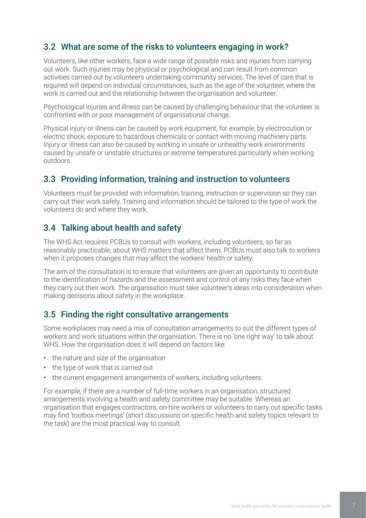## <span id="page-10-0"></span>3.2 What are some of the risks to volunteers engaging in work?

Volunteers, like other workers, face a wide range of possible risks and injuries from carrying out work. Such injuries may be physical or psychological and can result from common activities carried out by volunteers undertaking community services. The level of care that is required will depend on individual circumstances, such as the age of the volunteer, where the work is carried out and the relationship between the organisation and volunteer.

Psychological injuries and illness can be caused by challenging behaviour that the volunteer is confronted with or poor management of organisational change.

Physical injury or illness can be caused by work equipment, for example, by electrocution or electric shock, exposure to hazardous chemicals or contact with moving machinery parts. Injury or illness can also be caused by working in unsafe or unhealthy work environments caused by unsafe or unstable structures or extreme temperatures particularly when working outdoors.

#### 3.3 Providing information, training and instruction to volunteers

Volunteers must be provided with information, training, instruction or supervision so they can carry out their work safely. Training and information should be tailored to the type of work the volunteers do and where they work.

#### 3.4 Talking about health and safety

The WHS Act requires PCBUs to consult with workers, including volunteers, so far as reasonably practicable, about WHS matters that affect them. PCBUs must also talk to workers when it proposes changes that may affect the workers' health or safety.

The aim of the consultation is to ensure that volunteers are given an opportunity to contribute to the identification of hazards and the assessment and control of any risks they face when they carry out their work. The organisation must take volunteer's ideas into consideration when making decisions about safety in the workplace.

#### 3.5 Finding the right consultative arrangements

Some workplaces may need a mix of consultation arrangements to suit the different types of workers and work situations within the organisation. There is no 'one right way' to talk about WHS. How the organisation does it will depend on factors like:

- the nature and size of the organisation
- the type of work that is carried out
- the current engagement arrangements of workers, including volunteers.

For example, if there are a number of full-time workers in an organisation, structured arrangements involving a health and safety committee may be suitable. Whereas an organisation that engages contractors, on-hire workers or volunteers to carry out specific tasks may find 'toolbox meetings' (short discussions on specific health and safety topics relevant to the task) are the most practical way to consult.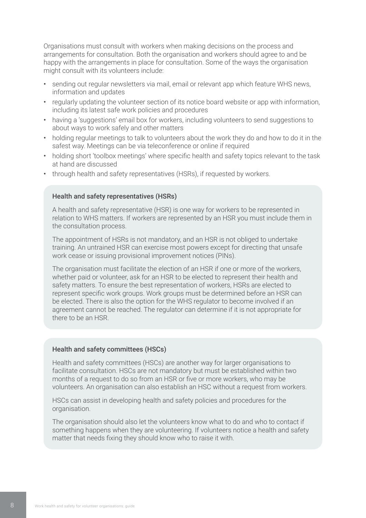Organisations must consult with workers when making decisions on the process and arrangements for consultation. Both the organisation and workers should agree to and be happy with the arrangements in place for consultation. Some of the ways the organisation might consult with its volunteers include:

- sending out regular newsletters via mail, email or relevant app which feature WHS news, information and updates
- regularly updating the volunteer section of its notice board website or app with information, including its latest safe work policies and procedures
- having a 'suggestions' email box for workers, including volunteers to send suggestions to about ways to work safely and other matters
- holding regular meetings to talk to volunteers about the work they do and how to do it in the safest way. Meetings can be via teleconference or online if required
- holding short 'toolbox meetings' where specific health and safety topics relevant to the task at hand are discussed
- through health and safety representatives (HSRs), if requested by workers.

#### Health and safety representatives (HSRs)

A health and safety representative (HSR) is one way for workers to be represented in relation to WHS matters. If workers are represented by an HSR you must include them in the consultation process.

The appointment of HSRs is not mandatory, and an HSR is not obliged to undertake training. An untrained HSR can exercise most powers except for directing that unsafe work cease or issuing provisional improvement notices (PINs).

The organisation must facilitate the election of an HSR if one or more of the workers, whether paid or volunteer, ask for an HSR to be elected to represent their health and safety matters. To ensure the best representation of workers, HSRs are elected to represent specific work groups. Work groups must be determined before an HSR can be elected. There is also the option for the WHS regulator to become involved if an agreement cannot be reached. The regulator can determine if it is not appropriate for there to be an HSR.

#### Health and safety committees (HSCs)

Health and safety committees (HSCs) are another way for larger organisations to facilitate consultation. HSCs are not mandatory but must be established within two months of a request to do so from an HSR or five or more workers, who may be volunteers. An organisation can also establish an HSC without a request from workers.

HSCs can assist in developing health and safety policies and procedures for the organisation.

The organisation should also let the volunteers know what to do and who to contact if something happens when they are volunteering. If volunteers notice a health and safety matter that needs fixing they should know who to raise it with.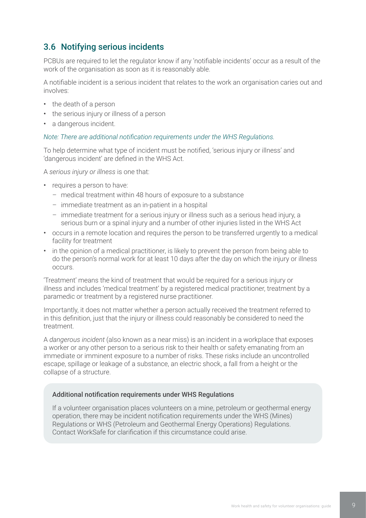## <span id="page-12-0"></span>3.6 Notifying serious incidents

PCBUs are required to let the regulator know if any 'notifiable incidents' occur as a result of the work of the organisation as soon as it is reasonably able.

A notifiable incident is a serious incident that relates to the work an organisation caries out and involves:

- the death of a person
- the serious injury or illness of a person
- a dangerous incident.

#### *Note: There are additional notification requirements under the WHS Regulations.*

To help determine what type of incident must be notified, 'serious injury or illness' and 'dangerous incident' are defined in the WHS Act.

A *serious injury or illness* is one that:

- requires a person to have:
	- medical treatment within 48 hours of exposure to a substance
	- immediate treatment as an in-patient in a hospital
	- immediate treatment for a serious injury or illness such as a serious head injury, a serious burn or a spinal injury and a number of other injuries listed in the WHS Act
- occurs in a remote location and requires the person to be transferred urgently to a medical facility for treatment
- in the opinion of a medical practitioner, is likely to prevent the person from being able to do the person's normal work for at least 10 days after the day on which the injury or illness occurs.

'Treatment' means the kind of treatment that would be required for a serious injury or illness and includes 'medical treatment' by a registered medical practitioner, treatment by a paramedic or treatment by a registered nurse practitioner.

Importantly, it does not matter whether a person actually received the treatment referred to in this definition, just that the injury or illness could reasonably be considered to need the treatment.

A *dangerous incident* (also known as a near miss) is an incident in a workplace that exposes a worker or any other person to a serious risk to their health or safety emanating from an immediate or imminent exposure to a number of risks. These risks include an uncontrolled escape, spillage or leakage of a substance, an electric shock, a fall from a height or the collapse of a structure.

#### Additional notification requirements under WHS Regulations

If a volunteer organisation places volunteers on a mine, petroleum or geothermal energy operation, there may be incident notification requirements under the WHS (Mines) Regulations or WHS (Petroleum and Geothermal Energy Operations) Regulations. Contact WorkSafe for clarification if this circumstance could arise.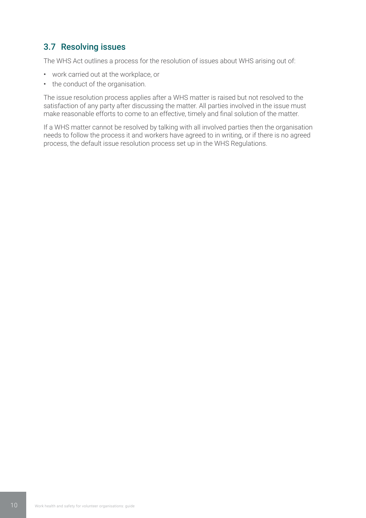## <span id="page-13-0"></span>3.7 Resolving issues

The WHS Act outlines a process for the resolution of issues about WHS arising out of:

- work carried out at the workplace, or
- the conduct of the organisation.

The issue resolution process applies after a WHS matter is raised but not resolved to the satisfaction of any party after discussing the matter. All parties involved in the issue must make reasonable efforts to come to an effective, timely and final solution of the matter.

If a WHS matter cannot be resolved by talking with all involved parties then the organisation needs to follow the process it and workers have agreed to in writing, or if there is no agreed process, the default issue resolution process set up in the WHS Regulations.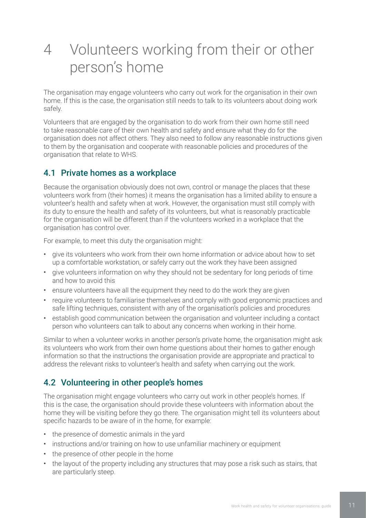# <span id="page-14-0"></span>4 Volunteers working from their or other person's home

The organisation may engage volunteers who carry out work for the organisation in their own home. If this is the case, the organisation still needs to talk to its volunteers about doing work safely.

Volunteers that are engaged by the organisation to do work from their own home still need to take reasonable care of their own health and safety and ensure what they do for the organisation does not affect others. They also need to follow any reasonable instructions given to them by the organisation and cooperate with reasonable policies and procedures of the organisation that relate to WHS.

#### 4.1 Private homes as a workplace

Because the organisation obviously does not own, control or manage the places that these volunteers work from (their homes) it means the organisation has a limited ability to ensure a volunteer's health and safety when at work. However, the organisation must still comply with its duty to ensure the health and safety of its volunteers, but what is reasonably practicable for the organisation will be different than if the volunteers worked in a workplace that the organisation has control over.

For example, to meet this duty the organisation might:

- give its volunteers who work from their own home information or advice about how to set up a comfortable workstation, or safely carry out the work they have been assigned
- give volunteers information on why they should not be sedentary for long periods of time and how to avoid this
- ensure volunteers have all the equipment they need to do the work they are given
- require volunteers to familiarise themselves and comply with good ergonomic practices and safe lifting techniques, consistent with any of the organisation's policies and procedures
- establish good communication between the organisation and volunteer including a contact person who volunteers can talk to about any concerns when working in their home.

Similar to when a volunteer works in another person's private home, the organisation might ask its volunteers who work from their own home questions about their homes to gather enough information so that the instructions the organisation provide are appropriate and practical to address the relevant risks to volunteer's health and safety when carrying out the work.

### 4.2 Volunteering in other people's homes

The organisation might engage volunteers who carry out work in other people's homes. If this is the case, the organisation should provide these volunteers with information about the home they will be visiting before they go there. The organisation might tell its volunteers about specific hazards to be aware of in the home, for example:

- the presence of domestic animals in the yard
- instructions and/or training on how to use unfamiliar machinery or equipment
- the presence of other people in the home
- the layout of the property including any structures that may pose a risk such as stairs, that are particularly steep.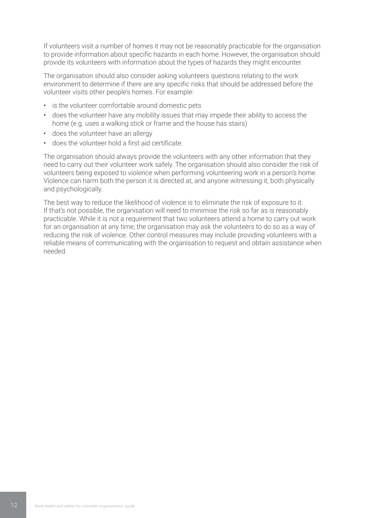If volunteers visit a number of homes it may not be reasonably practicable for the organisation to provide information about specific hazards in each home. However, the organisation should provide its volunteers with information about the types of hazards they might encounter.

The organisation should also consider asking volunteers questions relating to the work environment to determine if there are any specific risks that should be addressed before the volunteer visits other people's homes. For example:

- is the volunteer comfortable around domestic pets
- does the volunteer have any mobility issues that may impede their ability to access the home (e.g. uses a walking stick or frame and the house has stairs)
- does the volunteer have an allergy
- does the volunteer hold a first aid certificate.

The organisation should always provide the volunteers with any other information that they need to carry out their volunteer work safely. The organisation should also consider the risk of volunteers being exposed to violence when performing volunteering work in a person's home. Violence can harm both the person it is directed at, and anyone witnessing it, both physically and psychologically.

The best way to reduce the likelihood of violence is to eliminate the risk of exposure to it. If that's not possible, the organisation will need to minimise the risk so far as is reasonably practicable. While it is not a requirement that two volunteers attend a home to carry out work for an organisation at any time, the organisation may ask the volunteers to do so as a way of reducing the risk of violence. Other control measures may include providing volunteers with a reliable means of communicating with the organisation to request and obtain assistance when needed.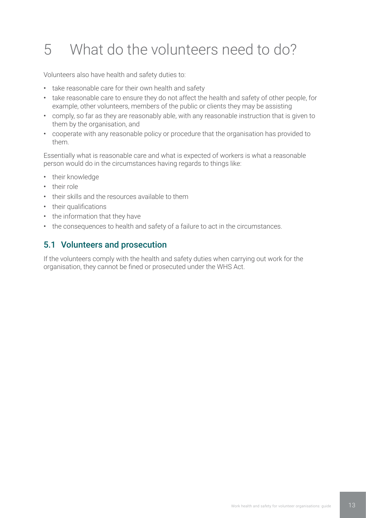# <span id="page-16-0"></span>5 What do the volunteers need to do?

Volunteers also have health and safety duties to:

- take reasonable care for their own health and safety
- take reasonable care to ensure they do not affect the health and safety of other people, for example, other volunteers, members of the public or clients they may be assisting
- comply, so far as they are reasonably able, with any reasonable instruction that is given to them by the organisation, and
- cooperate with any reasonable policy or procedure that the organisation has provided to them.

Essentially what is reasonable care and what is expected of workers is what a reasonable person would do in the circumstances having regards to things like:

- their knowledge
- their role
- their skills and the resources available to them
- their qualifications
- the information that they have
- the consequences to health and safety of a failure to act in the circumstances.

## 5.1 Volunteers and prosecution

If the volunteers comply with the health and safety duties when carrying out work for the organisation, they cannot be fined or prosecuted under the WHS Act.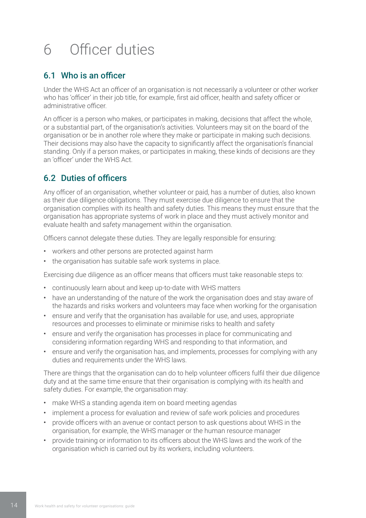## <span id="page-17-0"></span>6 Officer duties

### 6.1 Who is an officer

Under the WHS Act an officer of an organisation is not necessarily a volunteer or other worker who has 'officer' in their job title, for example, first aid officer, health and safety officer or administrative officer.

An officer is a person who makes, or participates in making, decisions that affect the whole, or a substantial part, of the organisation's activities. Volunteers may sit on the board of the organisation or be in another role where they make or participate in making such decisions. Their decisions may also have the capacity to significantly affect the organisation's financial standing. Only if a person makes, or participates in making, these kinds of decisions are they an 'officer' under the WHS Act.

## 6.2 Duties of officers

Any officer of an organisation, whether volunteer or paid, has a number of duties, also known as their due diligence obligations. They must exercise due diligence to ensure that the organisation complies with its health and safety duties. This means they must ensure that the organisation has appropriate systems of work in place and they must actively monitor and evaluate health and safety management within the organisation.

Officers cannot delegate these duties. They are legally responsible for ensuring:

- workers and other persons are protected against harm
- the organisation has suitable safe work systems in place.

Exercising due diligence as an officer means that officers must take reasonable steps to:

- continuously learn about and keep up-to-date with WHS matters
- have an understanding of the nature of the work the organisation does and stay aware of the hazards and risks workers and volunteers may face when working for the organisation
- ensure and verify that the organisation has available for use, and uses, appropriate resources and processes to eliminate or minimise risks to health and safety
- ensure and verify the organisation has processes in place for communicating and considering information regarding WHS and responding to that information, and
- ensure and verify the organisation has, and implements, processes for complying with any duties and requirements under the WHS laws.

There are things that the organisation can do to help volunteer officers fulfil their due diligence duty and at the same time ensure that their organisation is complying with its health and safety duties. For example, the organisation may:

- make WHS a standing agenda item on board meeting agendas
- implement a process for evaluation and review of safe work policies and procedures
- provide officers with an avenue or contact person to ask questions about WHS in the organisation, for example, the WHS manager or the human resource manager
- provide training or information to its officers about the WHS laws and the work of the organisation which is carried out by its workers, including volunteers.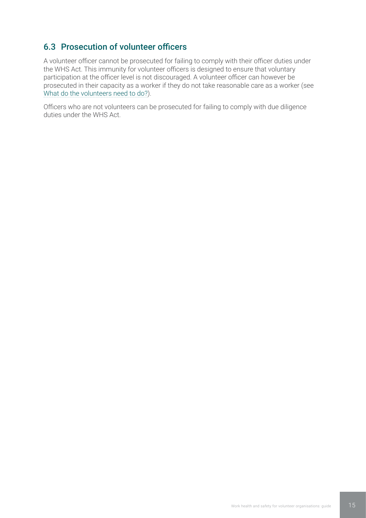## <span id="page-18-0"></span>6.3 Prosecution of volunteer officers

A volunteer officer cannot be prosecuted for failing to comply with their officer duties under the WHS Act. This immunity for volunteer officers is designed to ensure that voluntary participation at the officer level is not discouraged. A volunteer officer can however be prosecuted in their capacity as a worker if they do not take reasonable care as a worker (see [What do the volunteers need to do?](#page-16-0)).

Officers who are not volunteers can be prosecuted for failing to comply with due diligence duties under the WHS Act.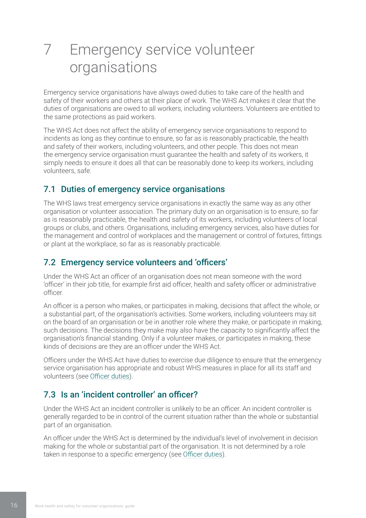# <span id="page-19-0"></span>7 Emergency service volunteer organisations

Emergency service organisations have always owed duties to take care of the health and safety of their workers and others at their place of work. The WHS Act makes it clear that the duties of organisations are owed to all workers, including volunteers. Volunteers are entitled to the same protections as paid workers.

The WHS Act does not affect the ability of emergency service organisations to respond to incidents as long as they continue to ensure, so far as is reasonably practicable, the health and safety of their workers, including volunteers, and other people. This does not mean the emergency service organisation must guarantee the health and safety of its workers, it simply needs to ensure it does all that can be reasonably done to keep its workers, including volunteers, safe.

#### 7.1 Duties of emergency service organisations

The WHS laws treat emergency service organisations in exactly the same way as any other organisation or volunteer association. The primary duty on an organisation is to ensure, so far as is reasonably practicable, the health and safety of its workers, including volunteers of local groups or clubs, and others. Organisations, including emergency services, also have duties for the management and control of workplaces and the management or control of fixtures, fittings or plant at the workplace, so far as is reasonably practicable.

#### 7.2 Emergency service volunteers and 'officers'

Under the WHS Act an officer of an organisation does not mean someone with the word 'officer' in their job title, for example first aid officer, health and safety officer or administrative officer.

An officer is a person who makes, or participates in making, decisions that affect the whole, or a substantial part, of the organisation's activities. Some workers, including volunteers may sit on the board of an organisation or be in another role where they make, or participate in making, such decisions. The decisions they make may also have the capacity to significantly affect the organisation's financial standing. Only if a volunteer makes, or participates in making, these kinds of decisions are they are an officer under the WHS Act.

Officers under the WHS Act have duties to exercise due diligence to ensure that the emergency service organisation has appropriate and robust WHS measures in place for all its staff and volunteers (see [Officer duties](#page-17-0)).

### 7.3 Is an 'incident controller' an officer?

Under the WHS Act an incident controller is unlikely to be an officer. An incident controller is generally regarded to be in control of the current situation rather than the whole or substantial part of an organisation.

An officer under the WHS Act is determined by the individual's level of involvement in decision making for the whole or substantial part of the organisation. It is not determined by a role taken in response to a specific emergency (see [Officer duties](#page-17-0)).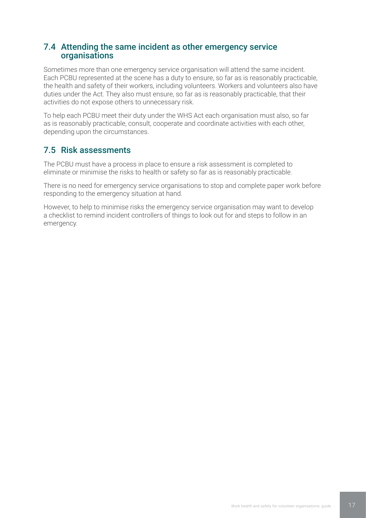#### <span id="page-20-0"></span>7.4 Attending the same incident as other emergency service organisations

Sometimes more than one emergency service organisation will attend the same incident. Each PCBU represented at the scene has a duty to ensure, so far as is reasonably practicable, the health and safety of their workers, including volunteers. Workers and volunteers also have duties under the Act. They also must ensure, so far as is reasonably practicable, that their activities do not expose others to unnecessary risk.

To help each PCBU meet their duty under the WHS Act each organisation must also, so far as is reasonably practicable, consult, cooperate and coordinate activities with each other, depending upon the circumstances.

### 7.5 Risk assessments

The PCBU must have a process in place to ensure a risk assessment is completed to eliminate or minimise the risks to health or safety so far as is reasonably practicable.

There is no need for emergency service organisations to stop and complete paper work before responding to the emergency situation at hand.

However, to help to minimise risks the emergency service organisation may want to develop a checklist to remind incident controllers of things to look out for and steps to follow in an emergency.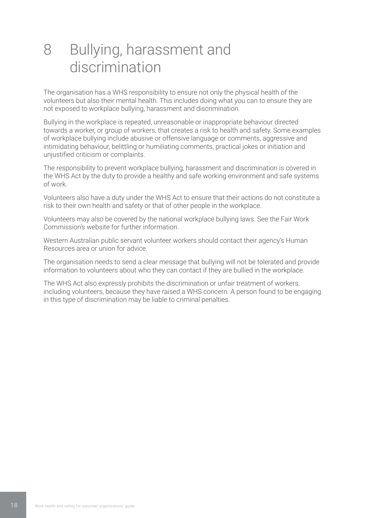# <span id="page-21-0"></span>8 Bullying, harassment and discrimination

The organisation has a WHS responsibility to ensure not only the physical health of the volunteers but also their mental health. This includes doing what you can to ensure they are not exposed to workplace bullying, harassment and discrimination.

Bullying in the workplace is repeated, unreasonable or inappropriate behaviour directed towards a worker, or group of workers, that creates a risk to health and safety. Some examples of workplace bullying include abusive or offensive language or comments, aggressive and intimidating behaviour, belittling or humiliating comments, practical jokes or initiation and unjustified criticism or complaints.

The responsibility to prevent workplace bullying, harassment and discrimination is covered in the WHS Act by the duty to provide a healthy and safe working environment and safe systems of work.

Volunteers also have a duty under the WHS Act to ensure that their actions do not constitute a risk to their own health and safety or that of other people in the workplace.

Volunteers may also be covered by the national workplace bullying laws. See the Fair Work Commission's website for further information.

Western Australian public servant volunteer workers should contact their agency's Human Resources area or union for advice.

The organisation needs to send a clear message that bullying will not be tolerated and provide information to volunteers about who they can contact if they are bullied in the workplace.

The WHS Act also expressly prohibits the discrimination or unfair treatment of workers, including volunteers, because they have raised a WHS concern. A person found to be engaging in this type of discrimination may be liable to criminal penalties.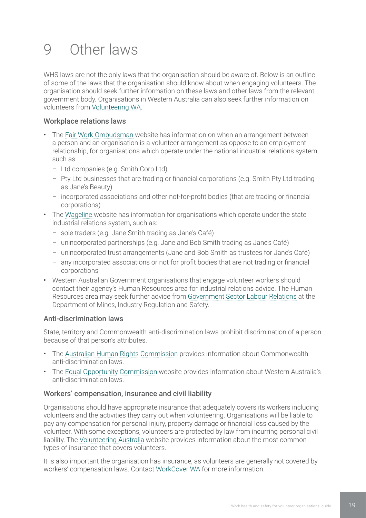## <span id="page-22-0"></span>9 Other laws

WHS laws are not the only laws that the organisation should be aware of. Below is an outline of some of the laws that the organisation should know about when engaging volunteers. The organisation should seek further information on these laws and other laws from the relevant government body. Organisations in Western Australia can also seek further information on volunteers from [Volunteering WA](https://www.volunteeringwa.org.au/).

#### Workplace relations laws

- The [Fair Work Ombudsman](https://www.fairwork.gov.au/how-we-will-help/templates-and-guides/fact-sheets/unpaid-work/unpaid-work) website has information on when an arrangement between a person and an organisation is a volunteer arrangement as oppose to an employment relationship, for organisations which operate under the national industrial relations system, such as:
	- Ltd companies (e.g. Smith Corp Ltd)
	- Pty Ltd businesses that are trading or financial corporations (e.g. Smith Pty Ltd trading as Jane's Beauty)
	- incorporated associations and other not-for-profit bodies (that are trading or financial corporations)
- The [Wageline](https://www.commerce.wa.gov.au/labour-relations/stay-informed-wageline) website has information for organisations which operate under the state industrial relations system, such as:
	- sole traders (e.g. Jane Smith trading as Jane's Café)
	- unincorporated partnerships (e.g. Jane and Bob Smith trading as Jane's Café)
	- unincorporated trust arrangements (Jane and Bob Smith as trustees for Jane's Café)
	- any incorporated associations or not for profit bodies that are not trading or financial corporations
- Western Australian Government organisations that engage volunteer workers should contact their agency's Human Resources area for industrial relations advice. The Human Resources area may seek further advice from [Government Sector Labour Relations](https://www.commerce.wa.gov.au/labour-relations/government-sector-labour-relations) at the Department of Mines, Industry Regulation and Safety.

#### Anti-discrimination laws

State, territory and Commonwealth anti-discrimination laws prohibit discrimination of a person because of that person's attributes.

- The [Australian Human Rights Commission](http://www.hreoc.gov.au/index.htm) provides information about Commonwealth anti-discrimination laws.
- The [Equal Opportunity Commission](https://www.wa.gov.au/organisation/equal-opportunity-commission) website provides information about Western Australia's anti-discrimination laws.

#### Workers' compensation, insurance and civil liability

Organisations should have appropriate insurance that adequately covers its workers including volunteers and the activities they carry out when volunteering. Organisations will be liable to pay any compensation for personal injury, property damage or financial loss caused by the volunteer. With some exceptions, volunteers are protected by law from incurring personal civil liability. The [Volunteering Australia](http://www.volunteeringaustralia.org/policy-and-best-practise/insurance/) website provides information about the most common types of insurance that covers volunteers.

It is also important the organisation has insurance, as volunteers are generally not covered by workers' compensation laws. Contact [WorkCover WA](https://www.workcover.wa.gov.au/) for more information.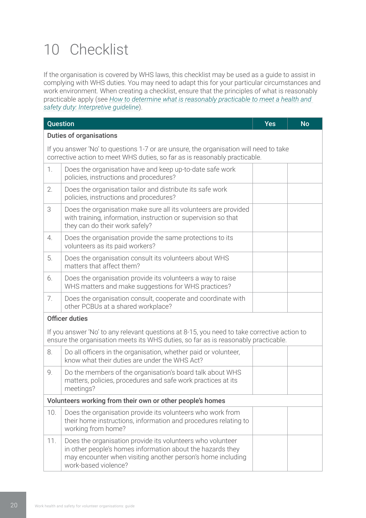# <span id="page-23-0"></span>10 Checklist

If the organisation is covered by WHS laws, this checklist may be used as a guide to assist in complying with WHS duties. You may need to adapt this for your particular circumstances and work environment. When creating a checklist, ensure that the principles of what is reasonably practicable apply (see *[How to determine what is reasonably practicable to meet a health and](https://www.wa.gov.au/sites/default/files/2021-11/211101_GL_ReasonablyPracticable_0.pdf)  [safety duty:](https://www.wa.gov.au/sites/default/files/2021-11/211101_GL_ReasonablyPracticable_0.pdf) Interpretive guideline*).

| Question                                                                                                                                                                          |                                                                                                                                                                                                                 | <b>Yes</b> | <b>No</b> |  |
|-----------------------------------------------------------------------------------------------------------------------------------------------------------------------------------|-----------------------------------------------------------------------------------------------------------------------------------------------------------------------------------------------------------------|------------|-----------|--|
| <b>Duties of organisations</b>                                                                                                                                                    |                                                                                                                                                                                                                 |            |           |  |
| If you answer 'No' to questions 1-7 or are unsure, the organisation will need to take<br>corrective action to meet WHS duties, so far as is reasonably practicable.               |                                                                                                                                                                                                                 |            |           |  |
| 1.                                                                                                                                                                                | Does the organisation have and keep up-to-date safe work<br>policies, instructions and procedures?                                                                                                              |            |           |  |
| 2.                                                                                                                                                                                | Does the organisation tailor and distribute its safe work<br>policies, instructions and procedures?                                                                                                             |            |           |  |
| 3                                                                                                                                                                                 | Does the organisation make sure all its volunteers are provided<br>with training, information, instruction or supervision so that<br>they can do their work safely?                                             |            |           |  |
| 4.                                                                                                                                                                                | Does the organisation provide the same protections to its<br>volunteers as its paid workers?                                                                                                                    |            |           |  |
| 5.                                                                                                                                                                                | Does the organisation consult its volunteers about WHS<br>matters that affect them?                                                                                                                             |            |           |  |
| 6.                                                                                                                                                                                | Does the organisation provide its volunteers a way to raise<br>WHS matters and make suggestions for WHS practices?                                                                                              |            |           |  |
| 7.                                                                                                                                                                                | Does the organisation consult, cooperate and coordinate with<br>other PCBUs at a shared workplace?                                                                                                              |            |           |  |
| <b>Officer duties</b>                                                                                                                                                             |                                                                                                                                                                                                                 |            |           |  |
| If you answer 'No' to any relevant questions at 8-15, you need to take corrective action to<br>ensure the organisation meets its WHS duties, so far as is reasonably practicable. |                                                                                                                                                                                                                 |            |           |  |
| 8.                                                                                                                                                                                | Do all officers in the organisation, whether paid or volunteer,<br>know what their duties are under the WHS Act?                                                                                                |            |           |  |
| 9.                                                                                                                                                                                | Do the members of the organisation's board talk about WHS<br>matters, policies, procedures and safe work practices at its<br>meetings?                                                                          |            |           |  |
| Volunteers working from their own or other people's homes                                                                                                                         |                                                                                                                                                                                                                 |            |           |  |
| 10.                                                                                                                                                                               | Does the organisation provide its volunteers who work from<br>their home instructions, information and procedures relating to<br>working from home?                                                             |            |           |  |
| 11.                                                                                                                                                                               | Does the organisation provide its volunteers who volunteer<br>in other people's homes information about the hazards they<br>may encounter when visiting another person's home including<br>work-based violence? |            |           |  |